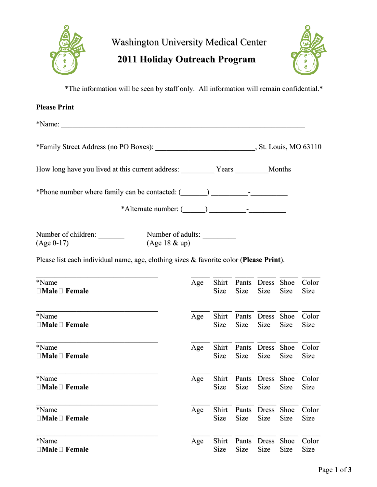

## **2011 Holiday Outreach Program**



\*The information will be seen by staff only. All information will remain confidential.\*

| <b>Please Print</b>                                                                    |                   |               |               |                      |              |               |  |
|----------------------------------------------------------------------------------------|-------------------|---------------|---------------|----------------------|--------------|---------------|--|
|                                                                                        |                   |               |               |                      |              |               |  |
|                                                                                        |                   |               |               |                      |              |               |  |
|                                                                                        |                   |               |               |                      |              |               |  |
| *Phone number where family can be contacted: (___________________________________      |                   |               |               |                      |              |               |  |
|                                                                                        |                   |               |               |                      |              |               |  |
| $(Age 18 \& up)$<br>$(Age 0-17)$                                                       | Number of adults: |               |               |                      |              |               |  |
| Please list each individual name, age, clothing sizes & favorite color (Please Print). |                   |               |               |                      |              |               |  |
| *Name<br>$\Box$ Male $\Box$ Female                                                     | Age               | Shirt<br>Size | <b>Size</b>   | Pants Dress<br>Size  | Shoe<br>Size | Color<br>Size |  |
| *Name<br>$\Box$ Male $\Box$ Female                                                     | Age               | Shirt<br>Size | Size          | Pants Dress<br>Size  | Shoe<br>Size | Color<br>Size |  |
| *Name<br>$\Box$ Male $\Box$ Female                                                     | Age               | Shirt<br>Size | <b>Size</b>   | Pants Dress<br>Size  | Shoe<br>Size | Color<br>Size |  |
| *Name<br>$\Box$ Male $\Box$ Female                                                     | Age               | Shirt<br>Size | Pants<br>Size | <b>Dress</b><br>Size | Shoe<br>Size | Color<br>Size |  |
| *Name<br>$\Box$ Male $\Box$ Female                                                     | Age               | Shirt<br>Size | Pants<br>Size | <b>Dress</b><br>Size | Shoe<br>Size | Color<br>Size |  |
| *Name<br>$\Box$ Male $\Box$ Female                                                     | Age               | Shirt<br>Size | Pants<br>Size | <b>Dress</b><br>Size | Shoe<br>Size | Color<br>Size |  |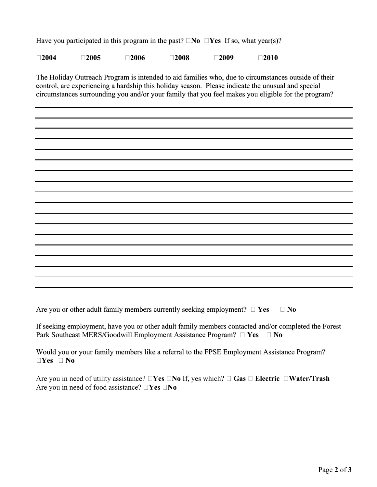Have you participated in this program in the past?  $\Box$  **No**  $\Box$  **Yes** If so, what year(s)?

**2004 2005 2006 2008 2009 2010**

The Holiday Outreach Program is intended to aid families who, due to circumstances outside of their control, are experiencing a hardship this holiday season. Please indicate the unusual and special circumstances surrounding you and/or your family that you feel makes you eligible for the program?

Are you or other adult family members currently seeking employment?  $\Box$  Yes  $\Box$  No

If seeking employment, have you or other adult family members contacted and/or completed the Forest Park Southeast MERS/Goodwill Employment Assistance Program? □ Yes □ No

Would you or your family members like a referral to the FPSE Employment Assistance Program? **Yes No**

Are you in need of utility assistance?  $\Box$  Yes  $\Box$  No If, yes which?  $\Box$  Gas  $\Box$  Electric  $\Box$  Water/Trash Are you in need of food assistance?  $\Box$ **Yes**  $\Box$ **No**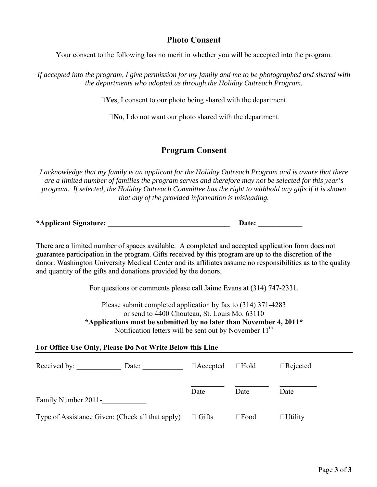### **Photo Consent**

Your consent to the following has no merit in whether you will be accepted into the program.

*If accepted into the program, I give permission for my family and me to be photographed and shared with the departments who adopted us through the Holiday Outreach Program.* 

**Yes**, I consent to our photo being shared with the department.

**No**, I do not want our photo shared with the department.

### **Program Consent**

*I acknowledge that my family is an applicant for the Holiday Outreach Program and is aware that there are a limited number of families the program serves and therefore may not be selected for this year's program. If selected, the Holiday Outreach Committee has the right to withhold any gifts if it is shown that any of the provided information is misleading.* 

**\*Applicant Signature: \_\_\_\_\_\_\_\_\_\_\_\_\_\_\_\_\_\_\_\_\_\_\_\_\_\_\_\_\_\_\_\_\_ Date: \_\_\_\_\_\_\_\_\_\_\_\_** 

There are a limited number of spaces available. A completed and accepted application form does not guarantee participation in the program. Gifts received by this program are up to the discretion of the donor. Washington University Medical Center and its affiliates assume no responsibilities as to the quality and quantity of the gifts and donations provided by the donors.

For questions or comments please call Jaime Evans at (314) 747-2331.

Please submit completed application by fax to (314) 371-4283 or send to 4400 Chouteau, St. Louis Mo. 63110

**\*Applications must be submitted by no later than November 4, 2011\***  Notification letters will be sent out by November  $11<sup>th</sup>$ 

#### **For Office Use Only, Please Do Not Write Below this Line**

| Received by:                                     | Date: | $\Box$ Hold<br>$\Box$ Accepted |                | $\Box$ Rejected |  |
|--------------------------------------------------|-------|--------------------------------|----------------|-----------------|--|
| Family Number 2011-                              |       | Date                           | Date           | Date            |  |
| Type of Assistance Given: (Check all that apply) |       | $\Box$ Gifts                   | $\square$ Food | $\Box$ Utility  |  |